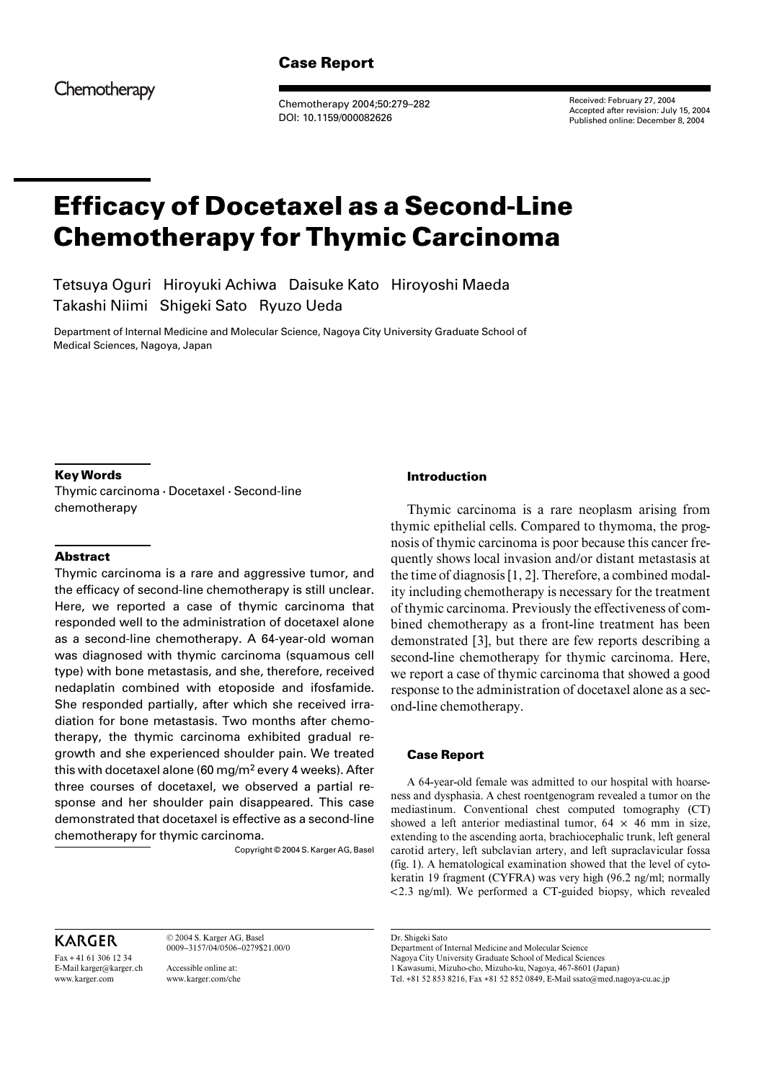# **Case Report**

Chemotherapy

Chemotherapy 2004;50:279–282 DOI: 10.1159/000082626

Received: February 27, 2004 Accepted after revision: July 15, 2004 Published online: December 8, 2004

# **Efficacy of Docetaxel as a Second-Line Chemotherapy for Thymic Carcinoma**

Tetsuya Oguri Hiroyuki Achiwa Daisuke Kato Hiroyoshi Maeda Takashi Niimi Shigeki Sato Ryuzo Ueda

Department of Internal Medicine and Molecular Science, Nagoya City University Graduate School of Medical Sciences, Nagoya, Japan

## **Key Words**

Thymic carcinoma  $\cdot$  Docetaxel  $\cdot$  Second-line chemotherapy

## **Abstract**

Thymic carcinoma is a rare and aggressive tumor, and the efficacy of second-line chemotherapy is still unclear. Here, we reported a case of thymic carcinoma that responded well to the administration of docetaxel alone as a second-line chemotherapy. A 64-year-old woman was diagnosed with thymic carcinoma (squamous cell type) with bone metastasis, and she, therefore, received nedaplatin combined with etoposide and ifosfamide. She responded partially, after which she received irradiation for bone metastasis. Two months after chemotherapy, the thymic carcinoma exhibited gradual regrowth and she experienced shoulder pain. We treated this with docetaxel alone (60 mg/m<sup>2</sup> every 4 weeks). After three courses of docetaxel, we observed a partial response and her shoulder pain disappeared. This case demonstrated that docetaxel is effective as a second-line chemotherapy for thymic carcinoma.

Copyright © 2004 S. Karger AG, Basel

# KARGER

Fax + 41 61 306 12 34 E-Mail karger@karger.ch www.karger.com

© 2004 S. Karger AG, Basel 0009–3157/04/0506–0279\$21.00/0

Accessible online at: www.karger.com/che

## **Introduction**

Thymic carcinoma is a rare neoplasm arising from thymic epithelial cells. Compared to thymoma, the prognosis of thymic carcinoma is poor because this cancer frequently shows local invasion and/or distant metastasis at the time of diagnosis [1, 2]. Therefore, a combined modality including chemotherapy is necessary for the treatment of thymic carcinoma. Previously the effectiveness of combined chemotherapy as a front-line treatment has been demonstrated [3], but there are few reports describing a second-line chemotherapy for thymic carcinoma. Here, we report a case of thymic carcinoma that showed a good response to the administration of docetaxel alone as a second-line chemotherapy.

#### **Case Report**

A 64-year-old female was admitted to our hospital with hoarseness and dysphasia. A chest roentgenogram revealed a tumor on the mediastinum. Conventional chest computed tomography (CT) showed a left anterior mediastinal tumor,  $64 \times 46$  mm in size, extending to the ascending aorta, brachiocephalic trunk, left general carotid artery, left subclavian artery, and left supraclavicular fossa (fig. 1). A hematological examination showed that the level of cytokeratin 19 fragment (CYFRA) was very high (96.2 ng/ml; normally !2.3 ng/ml). We performed a CT-guided biopsy, which revealed

Dr. Shigeki Sato

Department of Internal Medicine and Molecular Science Nagoya City University Graduate School of Medical Sciences

1 Kawasumi, Mizuho-cho, Mizuho-ku, Nagoya, 467-8601 (Japan) Tel. +81 52 853 8216, Fax +81 52 852 0849, E-Mail ssato@med.nagoya-cu.ac.jp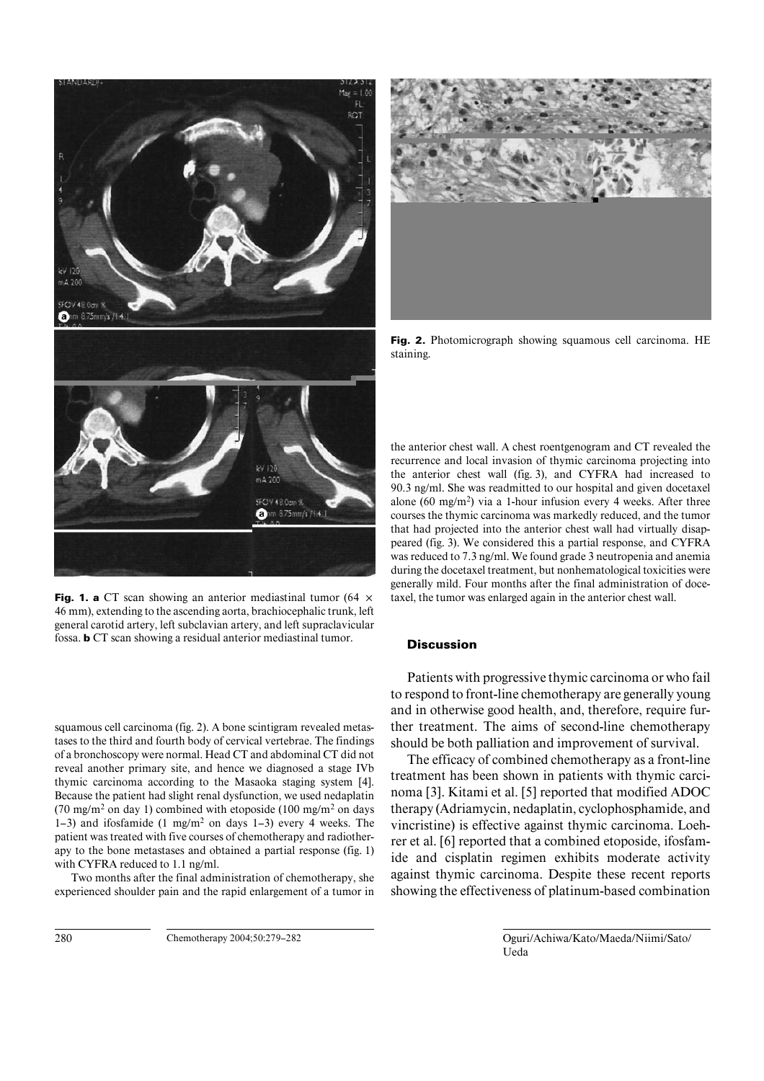

**Fig. 1. a** CT scan showing an anterior mediastinal tumor (64  $\times$ 46 mm), extending to the ascending aorta, brachiocephalic trunk, left general carotid artery, left subclavian artery, and left supraclavicular fossa. **b** CT scan showing a residual anterior mediastinal tumor.

squamous cell carcinoma (fig. 2). A bone scintigram revealed metastases to the third and fourth body of cervical vertebrae. The findings of a bronchoscopy were normal. Head CT and abdominal CT did not reveal another primary site, and hence we diagnosed a stage IVb thymic carcinoma according to the Masaoka staging system [4]. Because the patient had slight renal dysfunction, we used nedaplatin (70 mg/m<sup>2</sup> on day 1) combined with etoposide (100 mg/m<sup>2</sup> on days 1–3) and ifosfamide (1 mg/m2 on days 1–3) every 4 weeks. The patient was treated with five courses of chemotherapy and radiotherapy to the bone metastases and obtained a partial response (fig. 1) with CYFRA reduced to 1.1 ng/ml.

Two months after the final administration of chemotherapy, she experienced shoulder pain and the rapid enlargement of a tumor in **Fig. 2.** Photomicrograph showing squamous cell carcinoma. HE staining.

the anterior chest wall. A chest roentgenogram and CT revealed the recurrence and local invasion of thymic carcinoma projecting into the anterior chest wall (fig. 3), and CYFRA had increased to 90.3 ng/ml. She was readmitted to our hospital and given docetaxel alone (60 mg/m<sup>2</sup>) via a 1-hour infusion every 4 weeks. After three courses the thymic carcinoma was markedly reduced, and the tumor that had projected into the anterior chest wall had virtually disappeared (fig. 3). We considered this a partial response, and CYFRA was reduced to 7.3 ng/ml. We found grade 3 neutropenia and anemia during the docetaxel treatment, but nonhematological toxicities were generally mild. Four months after the final administration of docetaxel, the tumor was enlarged again in the anterior chest wall.

### **Discussion**

Patients with progressive thymic carcinoma or who fail to respond to front-line chemotherapy are generally young and in otherwise good health, and, therefore, require further treatment. The aims of second-line chemotherapy should be both palliation and improvement of survival.

The efficacy of combined chemotherapy as a front-line treatment has been shown in patients with thymic carcinoma [3]. Kitami et al. [5] reported that modified ADOC therapy (Adriamycin, nedaplatin, cyclophosphamide, and vincristine) is effective against thymic carcinoma. Loehrer et al. [6] reported that a combined etoposide, ifosfamide and cisplatin regimen exhibits moderate activity against thymic carcinoma. Despite these recent reports showing the effectiveness of platinum-based combination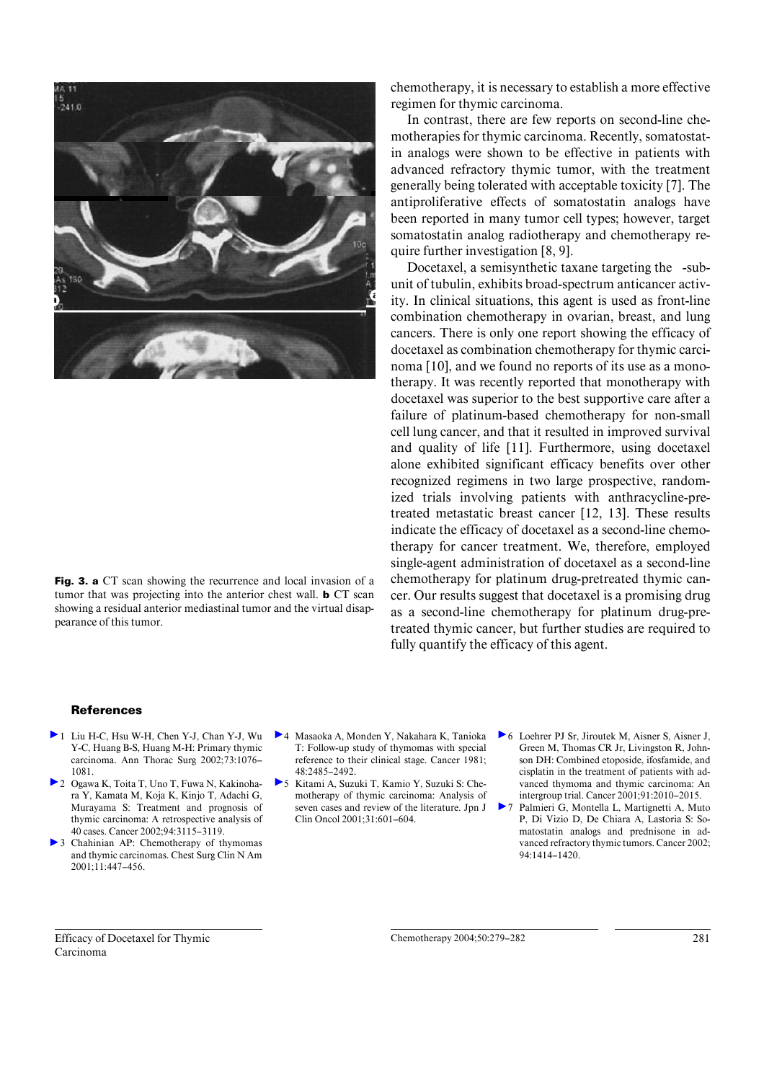

**Fig. 3. a** CT scan showing the recurrence and local invasion of a tumor that was projecting into the anterior chest wall. **b** CT scan showing a residual anterior mediastinal tumor and the virtual disappearance of this tumor.

chemotherapy, it is necessary to establish a more effective regimen for thymic carcinoma.

In contrast, there are few reports on second-line chemotherapies for thymic carcinoma. Recently, somatostatin analogs were shown to be effective in patients with advanced refractory thymic tumor, with the treatment generally being tolerated with acceptable toxicity [7]. The antiproliferative effects of somatostatin analogs have been reported in many tumor cell types; however, target somatostatin analog radiotherapy and chemotherapy require further investigation [8, 9].

Docetaxel, a semisynthetic taxane targeting the -subunit of tubulin, exhibits broad-spectrum anticancer activity. In clinical situations, this agent is used as front-line combination chemotherapy in ovarian, breast, and lung cancers. There is only one report showing the efficacy of docetaxel as combination chemotherapy for thymic carcinoma [10], and we found no reports of its use as a monotherapy. It was recently reported that monotherapy with docetaxel was superior to the best supportive care after a failure of platinum-based chemotherapy for non-small cell lung cancer, and that it resulted in improved survival and quality of life [11]. Furthermore, using docetaxel alone exhibited significant efficacy benefits over other recognized regimens in two large prospective, randomized trials involving patients with anthracycline-pretreated metastatic breast cancer [12, 13]. These results indicate the efficacy of docetaxel as a second-line chemotherapy for cancer treatment. We, therefore, employed single-agent administration of docetaxel as a second-line chemotherapy for platinum drug-pretreated thymic cancer. Our results suggest that docetaxel is a promising drug as a second-line chemotherapy for platinum drug-pretreated thymic cancer, but further studies are required to fully quantify the efficacy of this agent.

#### **References**

- 1 Liu H-C, Hsu W-H, Chen Y-J, Chan Y-J, Wu Y-C, Huang B-S, Huang M-H: Primary thymic carcinoma. Ann Thorac Surg 2002;73:1076– 1081.
- 2 Ogawa K, Toita T, Uno T, Fuwa N, Kakinohara Y, Kamata M, Koja K, Kinjo T, Adachi G, Murayama S: Treatment and prognosis of thymic carcinoma: A retrospective analysis of 40 cases. Cancer 2002;94:3115–3119.
- 3 Chahinian AP: Chemotherapy of thymomas and thymic carcinomas. Chest Surg Clin N Am 2001;11:447–456.
- 4 Masaoka A, Monden Y, Nakahara K, Tanioka T: Follow-up study of thymomas with special reference to their clinical stage. Cancer 1981; 48:2485–2492.
- 5 Kitami A, Suzuki T, Kamio Y, Suzuki S: Chemotherapy of thymic carcinoma: Analysis of seven cases and review of the literature. Jpn J Clin Oncol 2001;31:601–604.
- 6 Loehrer PJ Sr, Jiroutek M, Aisner S, Aisner J, Green M, Thomas CR Jr, Livingston R, Johnson DH: Combined etoposide, ifosfamide, and cisplatin in the treatment of patients with advanced thymoma and thymic carcinoma: An intergroup trial. Cancer 2001;91:2010–2015.
- 7 Palmieri G, Montella L, Martignetti A, Muto P, Di Vizio D, De Chiara A, Lastoria S: Somatostatin analogs and prednisone in advanced refractory thymic tumors. Cancer 2002;  $94.1414 - 1420$

Efficacy of Docetaxel for Thymic Carcinoma